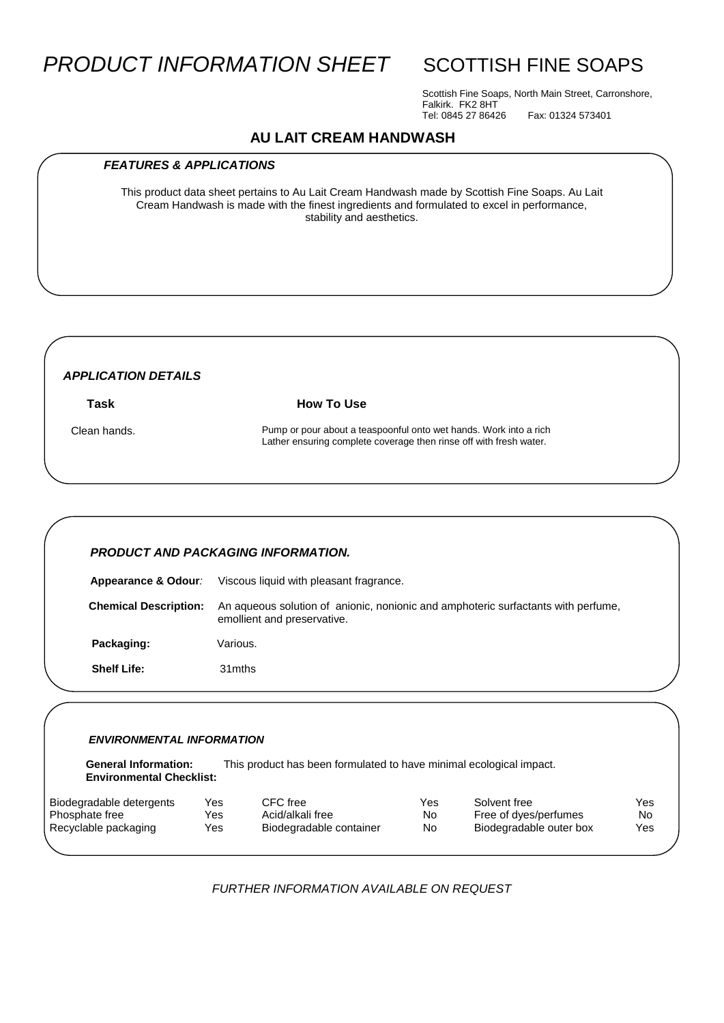# **PRODUCT INFORMATION SHEET** SCOTTISH FINE SOAPS

Scottish Fine Soaps, North Main Street, Carronshore, Falkirk. FK2 8HT Tel: 0845 27 86426 Fax: 01324 573401

# **AU LAIT CREAM HANDWASH**

#### *FEATURES & APPLICATIONS*

This product data sheet pertains to Au Lait Cream Handwash made by Scottish Fine Soaps. Au Lait Cream Handwash is made with the finest ingredients and formulated to excel in performance, stability and aesthetics.

## *APPLICATION DETAILS*

**Task How To Use** 

 Clean hands. Pump or pour about a teaspoonful onto wet hands. Work into a rich Lather ensuring complete coverage then rinse off with fresh water.

#### *PRODUCT AND PACKAGING INFORMATION.*

**Appearance & Odour***:* Viscous liquid with pleasant fragrance.  **Chemical Description:** An aqueous solution of anionic, nonionic and amphoteric surfactants with perfume, emollient and preservative. Packaging: **Various. Shelf Life:** 31mths

#### *ENVIRONMENTAL INFORMATION*

 **General Information:** This product has been formulated to have minimal ecological impact.  **Environmental Checklist:**

| Biodegradable detergents | Yes | CFC free                | Yes | Solvent free            | Yes |
|--------------------------|-----|-------------------------|-----|-------------------------|-----|
| Phosphate free           | Yes | Acid/alkali free        | No  | Free of dyes/perfumes   | No  |
| Recyclable packaging     | Yes | Biodegradable container | No  | Biodegradable outer box | Yes |
|                          |     |                         |     |                         |     |

*FURTHER INFORMATION AVAILABLE ON REQUEST*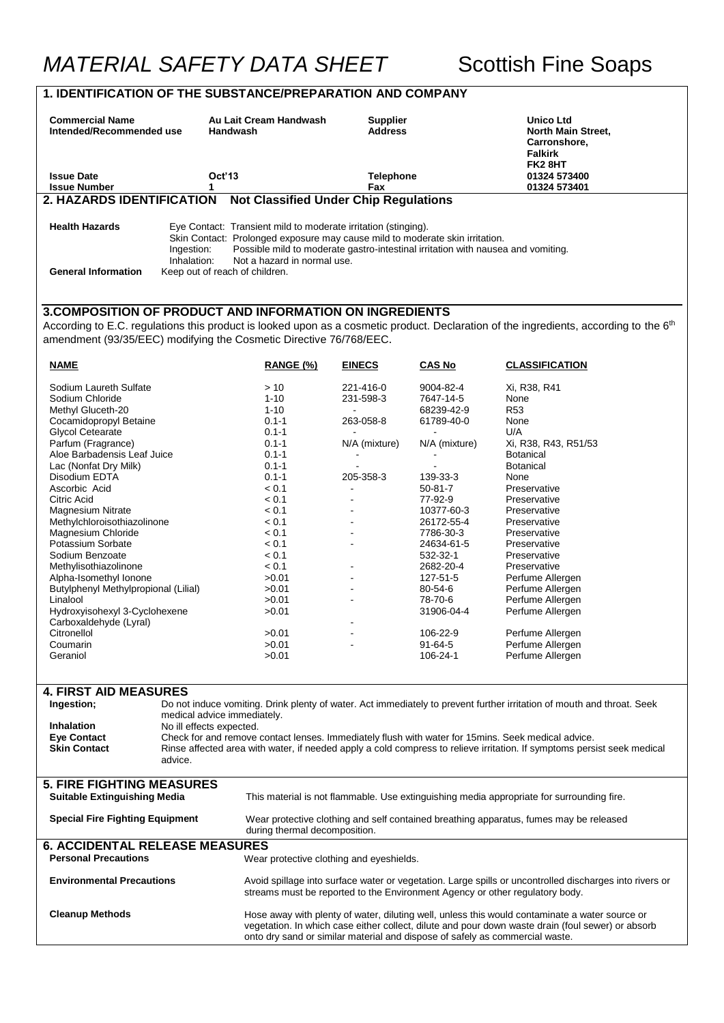# **1. IDENTIFICATION OF THE SUBSTANCE/PREPARATION AND COMPANY**

| <b>Commercial Name</b><br>Intended/Recommended use                                                                                 | <b>Handwash</b>                                                                                                                                                                                                                                                                     | Au Lait Cream Handwash                                                                                                                         | <b>Supplier</b><br><b>Address</b> |                       | Unico Ltd<br>North Main Street,<br>Carronshore,                                                                                                                                         |
|------------------------------------------------------------------------------------------------------------------------------------|-------------------------------------------------------------------------------------------------------------------------------------------------------------------------------------------------------------------------------------------------------------------------------------|------------------------------------------------------------------------------------------------------------------------------------------------|-----------------------------------|-----------------------|-----------------------------------------------------------------------------------------------------------------------------------------------------------------------------------------|
|                                                                                                                                    |                                                                                                                                                                                                                                                                                     |                                                                                                                                                |                                   |                       | <b>Falkirk</b><br>FK28HT                                                                                                                                                                |
| <b>Issue Date</b>                                                                                                                  | Oct'13                                                                                                                                                                                                                                                                              |                                                                                                                                                | Telephone                         |                       | 01324 573400                                                                                                                                                                            |
| <b>Issue Number</b>                                                                                                                | 1                                                                                                                                                                                                                                                                                   |                                                                                                                                                | Fax                               |                       | 01324 573401                                                                                                                                                                            |
| 2. HAZARDS IDENTIFICATION                                                                                                          |                                                                                                                                                                                                                                                                                     | <b>Not Classified Under Chip Regulations</b>                                                                                                   |                                   |                       |                                                                                                                                                                                         |
| <b>Health Hazards</b>                                                                                                              |                                                                                                                                                                                                                                                                                     | Eye Contact: Transient mild to moderate irritation (stinging).<br>Skin Contact: Prolonged exposure may cause mild to moderate skin irritation. |                                   |                       |                                                                                                                                                                                         |
|                                                                                                                                    | Ingestion:<br>Inhalation:                                                                                                                                                                                                                                                           | Possible mild to moderate gastro-intestinal irritation with nausea and vomiting.<br>Not a hazard in normal use.                                |                                   |                       |                                                                                                                                                                                         |
| <b>General Information</b>                                                                                                         | Keep out of reach of children.                                                                                                                                                                                                                                                      |                                                                                                                                                |                                   |                       |                                                                                                                                                                                         |
|                                                                                                                                    |                                                                                                                                                                                                                                                                                     |                                                                                                                                                |                                   |                       |                                                                                                                                                                                         |
| 3. COMPOSITION OF PRODUCT AND INFORMATION ON INGREDIENTS<br>amendment (93/35/EEC) modifying the Cosmetic Directive 76/768/EEC.     |                                                                                                                                                                                                                                                                                     |                                                                                                                                                |                                   |                       | According to E.C. regulations this product is looked upon as a cosmetic product. Declaration of the ingredients, according to the 6 <sup>th</sup>                                       |
| <b>NAME</b>                                                                                                                        |                                                                                                                                                                                                                                                                                     | RANGE (%)                                                                                                                                      | <b>EINECS</b>                     | <b>CAS No</b>         | <b>CLASSIFICATION</b>                                                                                                                                                                   |
| Sodium Laureth Sulfate                                                                                                             |                                                                                                                                                                                                                                                                                     | >10                                                                                                                                            | 221-416-0                         | 9004-82-4             | Xi, R38, R41                                                                                                                                                                            |
| Sodium Chloride                                                                                                                    |                                                                                                                                                                                                                                                                                     | $1 - 10$                                                                                                                                       | 231-598-3                         | 7647-14-5             | None                                                                                                                                                                                    |
| Methyl Gluceth-20                                                                                                                  |                                                                                                                                                                                                                                                                                     | $1 - 10$                                                                                                                                       |                                   | 68239-42-9            | R <sub>53</sub>                                                                                                                                                                         |
| Cocamidopropyl Betaine                                                                                                             |                                                                                                                                                                                                                                                                                     | $0.1 - 1$                                                                                                                                      | 263-058-8                         | 61789-40-0            | None                                                                                                                                                                                    |
| <b>Glycol Cetearate</b><br>Parfum (Fragrance)                                                                                      |                                                                                                                                                                                                                                                                                     | $0.1 - 1$<br>$0.1 - 1$                                                                                                                         | N/A (mixture)                     | N/A (mixture)         | U/A<br>Xi, R38, R43, R51/53                                                                                                                                                             |
| Aloe Barbadensis Leaf Juice                                                                                                        |                                                                                                                                                                                                                                                                                     | $0.1 - 1$                                                                                                                                      |                                   |                       | <b>Botanical</b>                                                                                                                                                                        |
| Lac (Nonfat Dry Milk)                                                                                                              |                                                                                                                                                                                                                                                                                     | $0.1 - 1$                                                                                                                                      |                                   |                       | <b>Botanical</b>                                                                                                                                                                        |
| Disodium EDTA                                                                                                                      |                                                                                                                                                                                                                                                                                     | $0.1 - 1$                                                                                                                                      | 205-358-3                         | 139-33-3              | None                                                                                                                                                                                    |
| Ascorbic Acid                                                                                                                      |                                                                                                                                                                                                                                                                                     | < 0.1                                                                                                                                          |                                   | $50 - 81 - 7$         | Preservative                                                                                                                                                                            |
| Citric Acid<br><b>Magnesium Nitrate</b>                                                                                            |                                                                                                                                                                                                                                                                                     | < 0.1<br>< 0.1                                                                                                                                 |                                   | 77-92-9<br>10377-60-3 | Preservative<br>Preservative                                                                                                                                                            |
| Methylchloroisothiazolinone                                                                                                        |                                                                                                                                                                                                                                                                                     | < 0.1                                                                                                                                          |                                   | 26172-55-4            | Preservative                                                                                                                                                                            |
| Magnesium Chloride                                                                                                                 |                                                                                                                                                                                                                                                                                     | < 0.1                                                                                                                                          |                                   | 7786-30-3             | Preservative                                                                                                                                                                            |
| Potassium Sorbate                                                                                                                  |                                                                                                                                                                                                                                                                                     | < 0.1                                                                                                                                          |                                   | 24634-61-5            | Preservative                                                                                                                                                                            |
| Sodium Benzoate                                                                                                                    |                                                                                                                                                                                                                                                                                     | < 0.1                                                                                                                                          |                                   | 532-32-1              | Preservative                                                                                                                                                                            |
| Methylisothiazolinone                                                                                                              |                                                                                                                                                                                                                                                                                     | < 0.1                                                                                                                                          |                                   | 2682-20-4             | Preservative                                                                                                                                                                            |
| Alpha-Isomethyl Ionone<br>Butylphenyl Methylpropional (Lilial)                                                                     |                                                                                                                                                                                                                                                                                     | >0.01<br>>0.01                                                                                                                                 |                                   | 127-51-5<br>80-54-6   | Perfume Allergen<br>Perfume Allergen                                                                                                                                                    |
| Linalool                                                                                                                           |                                                                                                                                                                                                                                                                                     | >0.01                                                                                                                                          |                                   | 78-70-6               | Perfume Allergen                                                                                                                                                                        |
| Hydroxyisohexyl 3-Cyclohexene                                                                                                      |                                                                                                                                                                                                                                                                                     | >0.01                                                                                                                                          |                                   | 31906-04-4            | Perfume Allergen                                                                                                                                                                        |
| Carboxaldehyde (Lyral)                                                                                                             |                                                                                                                                                                                                                                                                                     |                                                                                                                                                |                                   |                       |                                                                                                                                                                                         |
| Citronellol                                                                                                                        |                                                                                                                                                                                                                                                                                     | >0.01                                                                                                                                          |                                   | 106-22-9              | Perfume Allergen                                                                                                                                                                        |
| Coumarin<br>Geraniol                                                                                                               |                                                                                                                                                                                                                                                                                     | >0.01<br>>0.01                                                                                                                                 |                                   | 91-64-5<br>106-24-1   | Perfume Allergen<br>Perfume Allergen                                                                                                                                                    |
|                                                                                                                                    |                                                                                                                                                                                                                                                                                     |                                                                                                                                                |                                   |                       |                                                                                                                                                                                         |
| <b>4. FIRST AID MEASURES</b>                                                                                                       |                                                                                                                                                                                                                                                                                     |                                                                                                                                                |                                   |                       |                                                                                                                                                                                         |
| Ingestion;                                                                                                                         |                                                                                                                                                                                                                                                                                     |                                                                                                                                                |                                   |                       | Do not induce vomiting. Drink plenty of water. Act immediately to prevent further irritation of mouth and throat. Seek                                                                  |
|                                                                                                                                    | medical advice immediately.                                                                                                                                                                                                                                                         |                                                                                                                                                |                                   |                       |                                                                                                                                                                                         |
| <b>Inhalation</b>                                                                                                                  | No ill effects expected.                                                                                                                                                                                                                                                            |                                                                                                                                                |                                   |                       |                                                                                                                                                                                         |
| <b>Eye Contact</b><br><b>Skin Contact</b>                                                                                          |                                                                                                                                                                                                                                                                                     |                                                                                                                                                |                                   |                       | Check for and remove contact lenses. Immediately flush with water for 15mins. Seek medical advice.                                                                                      |
| Rinse affected area with water, if needed apply a cold compress to relieve irritation. If symptoms persist seek medical<br>advice. |                                                                                                                                                                                                                                                                                     |                                                                                                                                                |                                   |                       |                                                                                                                                                                                         |
| <b>5. FIRE FIGHTING MEASURES</b><br><b>Suitable Extinguishing Media</b>                                                            |                                                                                                                                                                                                                                                                                     |                                                                                                                                                |                                   |                       | This material is not flammable. Use extinguishing media appropriate for surrounding fire.                                                                                               |
| <b>Special Fire Fighting Equipment</b>                                                                                             |                                                                                                                                                                                                                                                                                     |                                                                                                                                                |                                   |                       | Wear protective clothing and self contained breathing apparatus, fumes may be released                                                                                                  |
| during thermal decomposition.                                                                                                      |                                                                                                                                                                                                                                                                                     |                                                                                                                                                |                                   |                       |                                                                                                                                                                                         |
| <b>6. ACCIDENTAL RELEASE MEASURES</b><br><b>Personal Precautions</b><br>Wear protective clothing and eyeshields.                   |                                                                                                                                                                                                                                                                                     |                                                                                                                                                |                                   |                       |                                                                                                                                                                                         |
| <b>Environmental Precautions</b>                                                                                                   |                                                                                                                                                                                                                                                                                     |                                                                                                                                                |                                   |                       | Avoid spillage into surface water or vegetation. Large spills or uncontrolled discharges into rivers or<br>streams must be reported to the Environment Agency or other regulatory body. |
| <b>Cleanup Methods</b>                                                                                                             | Hose away with plenty of water, diluting well, unless this would contaminate a water source or<br>vegetation. In which case either collect, dilute and pour down waste drain (foul sewer) or absorb<br>onto dry sand or similar material and dispose of safely as commercial waste. |                                                                                                                                                |                                   |                       |                                                                                                                                                                                         |